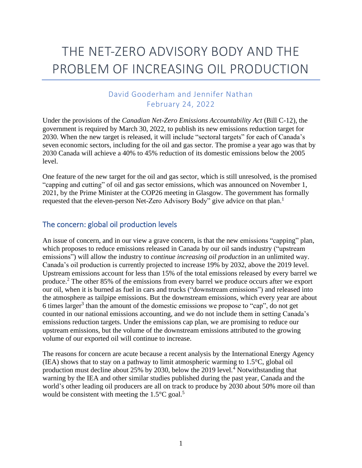# THE NET-ZERO ADVISORY BODY AND THE PROBLEM OF INCREASING OIL PRODUCTION

## David Gooderham and Jennifer Nathan February 24, 2022

Under the provisions of the *Canadian Net-Zero Emissions Accountability Act* (Bill C-12), the government is required by March 30, 2022, to publish its new emissions reduction target for 2030. When the new target is released, it will include "sectoral targets" for each of Canada's seven economic sectors, including for the oil and gas sector. The promise a year ago was that by 2030 Canada will achieve a 40% to 45% reduction of its domestic emissions below the 2005 level.

One feature of the new target for the oil and gas sector, which is still unresolved, is the promised "capping and cutting" of oil and gas sector emissions, which was announced on November 1, 2021, by the Prime Minister at the COP26 meeting in Glasgow. The government has formally requested that the eleven-person Net-Zero Advisory Body" give advice on that plan.<sup>1</sup>

#### The concern: global oil production levels

An issue of concern, and in our view a grave concern, is that the new emissions "capping" plan, which proposes to reduce emissions released in Canada by our oil sands industry ("upstream emissions") will allow the industry to *continue increasing oil production* in an unlimited way. Canada's oil production is currently projected to increase 19% by 2032, above the 2019 level. Upstream emissions account for less than 15% of the total emissions released by every barrel we produce.<sup>2</sup> The other 85% of the emissions from every barrel we produce occurs after we export our oil, when it is burned as fuel in cars and trucks ("downstream emissions") and released into the atmosphere as tailpipe emissions. But the downstream emissions, which every year are about 6 times larger<sup>3</sup> than the amount of the domestic emissions we propose to "cap", do not get counted in our national emissions accounting, and we do not include them in setting Canada's emissions reduction targets. Under the emissions cap plan, we are promising to reduce our upstream emissions, but the volume of the downstream emissions attributed to the growing volume of our exported oil will continue to increase.

The reasons for concern are acute because a recent analysis by the International Energy Agency (IEA) shows that to stay on a pathway to limit atmospheric warming to 1.5°C, global oil production must decline about 25% by 2030, below the 2019 level.<sup>4</sup> Notwithstanding that warning by the IEA and other similar studies published during the past year, Canada and the world's other leading oil producers are all on track to produce by 2030 about 50% more oil than would be consistent with meeting the  $1.5^{\circ}$ C goal.<sup>5</sup>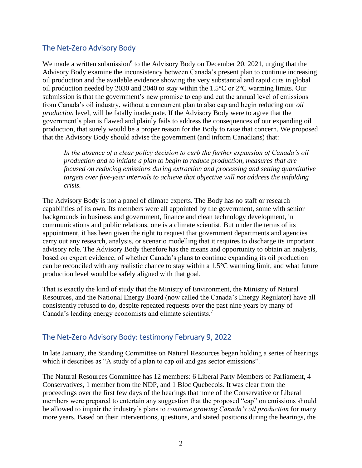# The Net-Zero Advisory Body

We made a written submission<sup>6</sup> to the Advisory Body on December 20, 2021, urging that the Advisory Body examine the inconsistency between Canada's present plan to continue increasing oil production and the available evidence showing the very substantial and rapid cuts in global oil production needed by 2030 and 2040 to stay within the 1.5°C or 2°C warming limits. Our submission is that the government's new promise to cap and cut the annual level of emissions from Canada's oil industry, without a concurrent plan to also cap and begin reducing our *oil production* level, will be fatally inadequate. If the Advisory Body were to agree that the government's plan is flawed and plainly fails to address the consequences of our expanding oil production, that surely would be a proper reason for the Body to raise that concern. We proposed that the Advisory Body should advise the government (and inform Canadians) that:

*In the absence of a clear policy decision to curb the further expansion of Canada's oil production and to initiate a plan to begin to reduce production, measures that are focused on reducing emissions during extraction and processing and setting quantitative targets over five-year intervals to achieve that objective will not address the unfolding crisis.*

The Advisory Body is not a panel of climate experts. The Body has no staff or research capabilities of its own. Its members were all appointed by the government, some with senior backgrounds in business and government, finance and clean technology development, in communications and public relations, one is a climate scientist. But under the terms of its appointment, it has been given the right to request that government departments and agencies carry out any research, analysis, or scenario modelling that it requires to discharge its important advisory role. The Advisory Body therefore has the means and opportunity to obtain an analysis, based on expert evidence, of whether Canada's plans to continue expanding its oil production can be reconciled with any realistic chance to stay within a 1.5°C warming limit, and what future production level would be safely aligned with that goal.

That is exactly the kind of study that the Ministry of Environment, the Ministry of Natural Resources, and the National Energy Board (now called the Canada's Energy Regulator) have all consistently refused to do, despite repeated requests over the past nine years by many of Canada's leading energy economists and climate scientists.<sup>7</sup>

# The Net-Zero Advisory Body: testimony February 9, 2022

In late January, the Standing Committee on Natural Resources began holding a series of hearings which it describes as "A study of a plan to cap oil and gas sector emissions".

The Natural Resources Committee has 12 members: 6 Liberal Party Members of Parliament, 4 Conservatives, 1 member from the NDP, and 1 Bloc Quebecois. It was clear from the proceedings over the first few days of the hearings that none of the Conservative or Liberal members were prepared to entertain any suggestion that the proposed "cap" on emissions should be allowed to impair the industry's plans to *continue growing Canada's oil production* for many more years. Based on their interventions, questions, and stated positions during the hearings, the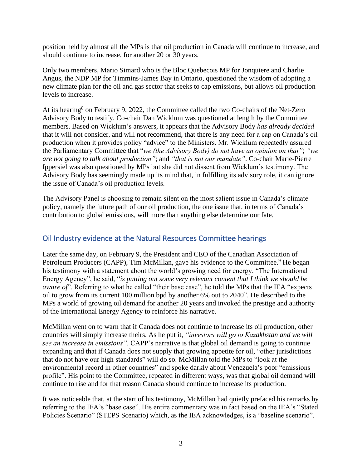position held by almost all the MPs is that oil production in Canada will continue to increase, and should continue to increase, for another 20 or 30 years.

Only two members, Mario Simard who is the Bloc Quebecois MP for Jonquiere and Charlie Angus, the NDP MP for Timmins-James Bay in Ontario, questioned the wisdom of adopting a new climate plan for the oil and gas sector that seeks to cap emissions, but allows oil production levels to increase.

At its hearing<sup>8</sup> on February 9, 2022, the Committee called the two Co-chairs of the Net-Zero Advisory Body to testify. Co-chair Dan Wicklum was questioned at length by the Committee members. Based on Wicklum's answers, it appears that the Advisory Body *has already decided* that it will not consider, and will not recommend, that there is any need for a cap on Canada's oil production when it provides policy "advice" to the Ministers. Mr. Wicklum repeatedly assured the Parliamentary Committee that "*we (the Advisory Body) do not have an opinion on that"*; *"we are not going to talk about production"*; and *"that is not our mandate"*. Co-chair Marie-Pierre Ippersiel was also questioned by MPs but she did not dissent from Wicklum's testimony. The Advisory Body has seemingly made up its mind that, in fulfilling its advisory role, it can ignore the issue of Canada's oil production levels.

The Advisory Panel is choosing to remain silent on the most salient issue in Canada's climate policy, namely the future path of our oil production, the one issue that, in terms of Canada's contribution to global emissions, will more than anything else determine our fate.

### Oil Industry evidence at the Natural Resources Committee hearings

Later the same day, on February 9, the President and CEO of the Canadian Association of Petroleum Producers (CAPP), Tim McMillan, gave his evidence to the Committee.<sup>9</sup> He began his testimony with a statement about the world's growing need for energy. "The International Energy Agency", he said, "*is putting out some very relevant content that I think we should be aware of*". Referring to what he called "their base case", he told the MPs that the IEA "expects" oil to grow from its current 100 million bpd by another 6% out to 2040". He described to the MPs a world of growing oil demand for another 20 years and invoked the prestige and authority of the International Energy Agency to reinforce his narrative.

McMillan went on to warn that if Canada does not continue to increase its oil production, other countries will simply increase theirs. As he put it, *"investors will go to Kazakhstan and we will see an increase in emissions"*. CAPP's narrative is that global oil demand is going to continue expanding and that if Canada does not supply that growing appetite for oil, "other jurisdictions that do not have our high standards" will do so. McMillan told the MPs to "look at the environmental record in other countries" and spoke darkly about Venezuela's poor "emissions profile". His point to the Committee, repeated in different ways, was that global oil demand will continue to rise and for that reason Canada should continue to increase its production.

It was noticeable that, at the start of his testimony, McMillan had quietly prefaced his remarks by referring to the IEA's "base case". His entire commentary was in fact based on the IEA's "Stated Policies Scenario" (STEPS Scenario) which, as the IEA acknowledges, is a "baseline scenario".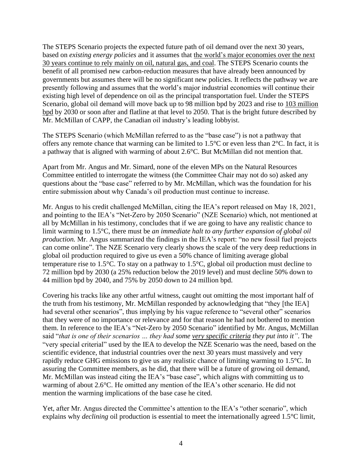The STEPS Scenario projects the expected future path of oil demand over the next 30 years, based on *existing energy policies* and it assumes that the world's major economies over the next 30 years continue to rely mainly on oil, natural gas, and coal. The STEPS Scenario counts the benefit of all promised new carbon-reduction measures that have already been announced by governments but assumes there will be no significant new policies. It reflects the pathway we are presently following and assumes that the world's major industrial economies will continue their existing high level of dependence on oil as the principal transportation fuel. Under the STEPS Scenario, global oil demand will move back up to 98 million bpd by 2023 and rise to 103 million bpd by 2030 or soon after and flatline at that level to 2050. That is the bright future described by Mr. McMillan of CAPP, the Canadian oil industry's leading lobbyist.

The STEPS Scenario (which McMillan referred to as the "base case") is not a pathway that offers any remote chance that warming can be limited to 1.5°C or even less than 2°C. In fact, it is a pathway that is aligned with warming of about 2.6°C. But McMillan did not mention that.

Apart from Mr. Angus and Mr. Simard, none of the eleven MPs on the Natural Resources Committee entitled to interrogate the witness (the Committee Chair may not do so) asked any questions about the "base case" referred to by Mr. McMillan, which was the foundation for his entire submission about why Canada's oil production must continue to increase.

Mr. Angus to his credit challenged McMillan, citing the IEA's report released on May 18, 2021, and pointing to the IEA's "Net-Zero by 2050 Scenario" (NZE Scenario) which, not mentioned at all by McMillan in his testimony, concludes that if we are going to have any realistic chance to limit warming to 1.5°C, there must be *an immediate halt to any further expansion of global oil production.* Mr. Angus summarized the findings in the IEA's report: "no new fossil fuel projects can come online". The NZE Scenario very clearly shows the scale of the very deep reductions in global oil production required to give us even a 50% chance of limiting average global temperature rise to 1.5°C. To stay on a pathway to 1.5°C, global oil production must decline to 72 million bpd by 2030 (a 25% reduction below the 2019 level) and must decline 50% down to 44 million bpd by 2040, and 75% by 2050 down to 24 million bpd.

Covering his tracks like any other artful witness, caught out omitting the most important half of the truth from his testimony, Mr. McMillan responded by acknowledging that "they [the IEA] had several other scenarios", thus implying by his vague reference to "several other" scenarios that they were of no importance or relevance and for that reason he had not bothered to mention them. In reference to the IEA's "Net-Zero by 2050 Scenario" identified by Mr. Angus, McMillan said "*that is one of their scenarios … they had some very specific criteria they put into it"*. The "very special criterial" used by the IEA to develop the NZE Scenario was the need, based on the scientific evidence, that industrial countries over the next 30 years must massively and very rapidly reduce GHG emissions to give us any realistic chance of limiting warming to 1.5°C. In assuring the Committee members, as he did, that there will be a future of growing oil demand, Mr. McMillan was instead citing the IEA's "base case", which aligns with committing us to warming of about 2.6°C. He omitted any mention of the IEA's other scenario. He did not mention the warming implications of the base case he cited.

Yet, after Mr. Angus directed the Committee's attention to the IEA's "other scenario", which explains why *declining* oil production is essential to meet the internationally agreed 1.5°C limit,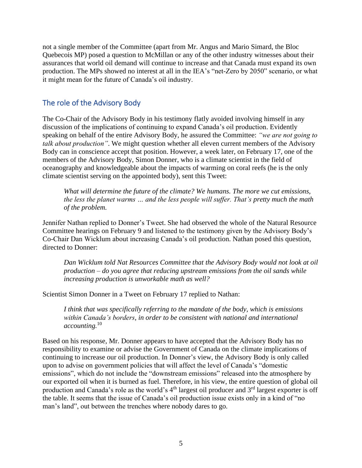not a single member of the Committee (apart from Mr. Angus and Mario Simard, the Bloc Quebecois MP) posed a question to McMillan or any of the other industry witnesses about their assurances that world oil demand will continue to increase and that Canada must expand its own production. The MPs showed no interest at all in the IEA's "net-Zero by 2050" scenario, or what it might mean for the future of Canada's oil industry.

#### The role of the Advisory Body

The Co-Chair of the Advisory Body in his testimony flatly avoided involving himself in any discussion of the implications of continuing to expand Canada's oil production. Evidently speaking on behalf of the entire Advisory Body, he assured the Committee: *"we are not going to talk about production"*. We might question whether all eleven current members of the Advisory Body can in conscience accept that position. However, a week later, on February 17, one of the members of the Advisory Body, Simon Donner, who is a climate scientist in the field of oceanography and knowledgeable about the impacts of warming on coral reefs (he is the only climate scientist serving on the appointed body), sent this Tweet:

*What will determine the future of the climate? We humans. The more we cut emissions, the less the planet warms … and the less people will suffer. That's pretty much the math of the problem.*

Jennifer Nathan replied to Donner's Tweet. She had observed the whole of the Natural Resource Committee hearings on February 9 and listened to the testimony given by the Advisory Body's Co-Chair Dan Wicklum about increasing Canada's oil production. Nathan posed this question, directed to Donner:

*Dan Wicklum told Nat Resources Committee that the Advisory Body would not look at oil production – do you agree that reducing upstream emissions from the oil sands while increasing production is unworkable math as well?*

Scientist Simon Donner in a Tweet on February 17 replied to Nathan:

*I think that was specifically referring to the mandate of the body, which is emissions within Canada's borders, in order to be consistent with national and international accounting.*<sup>10</sup>

Based on his response, Mr. Donner appears to have accepted that the Advisory Body has no responsibility to examine or advise the Government of Canada on the climate implications of continuing to increase our oil production. In Donner's view, the Advisory Body is only called upon to advise on government policies that will affect the level of Canada's "domestic emissions", which do not include the "downstream emissions" released into the atmosphere by our exported oil when it is burned as fuel. Therefore, in his view, the entire question of global oil production and Canada's role as the world's  $4<sup>th</sup>$  largest oil producer and  $3<sup>rd</sup>$  largest exporter is off the table. It seems that the issue of Canada's oil production issue exists only in a kind of "no man's land", out between the trenches where nobody dares to go.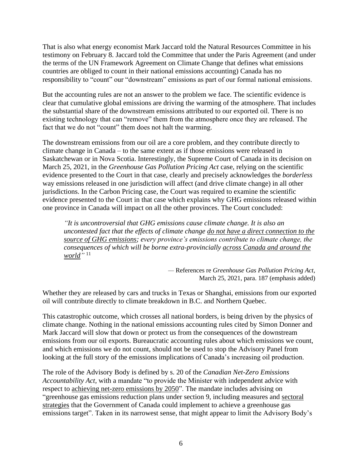That is also what energy economist Mark Jaccard told the Natural Resources Committee in his testimony on February 8. Jaccard told the Committee that under the Paris Agreement (and under the terms of the UN Framework Agreement on Climate Change that defines what emissions countries are obliged to count in their national emissions accounting) Canada has no responsibility to "count" our "downstream" emissions as part of our formal national emissions.

But the accounting rules are not an answer to the problem we face. The scientific evidence is clear that cumulative global emissions are driving the warming of the atmosphere. That includes the substantial share of the downstream emissions attributed to our exported oil. There is no existing technology that can "remove" them from the atmosphere once they are released. The fact that we do not "count" them does not halt the warming.

The downstream emissions from our oil are a core problem, and they contribute directly to climate change in Canada – to the same extent as if those emissions were released in Saskatchewan or in Nova Scotia. Interestingly, the Supreme Court of Canada in its decision on March 25, 2021, in the *Greenhouse Gas Pollution Pricing Act* case, relying on the scientific evidence presented to the Court in that case, clearly and precisely acknowledges the *borderless* way emissions released in one jurisdiction will affect (and drive climate change) in all other jurisdictions. In the Carbon Pricing case, the Court was required to examine the scientific evidence presented to the Court in that case which explains why GHG emissions released within one province in Canada will impact on all the other provinces. The Court concluded:

*"It is uncontroversial that GHG emissions cause climate change. It is also an uncontested fact that the effects of climate change do not have a direct connection to the source of GHG emissions; every province's emissions contribute to climate change, the consequences of which will be borne extra-provincially across Canada and around the*  world<sup>"</sup><sup>11</sup>

> *—* References re *Greenhouse Gas Pollution Pricing Act*, March 25, 2021, para. 187 (emphasis added)

Whether they are released by cars and trucks in Texas or Shanghai, emissions from our exported oil will contribute directly to climate breakdown in B.C. and Northern Quebec.

This catastrophic outcome, which crosses all national borders, is being driven by the physics of climate change. Nothing in the national emissions accounting rules cited by Simon Donner and Mark Jaccard will slow that down or protect us from the consequences of the downstream emissions from our oil exports. Bureaucratic accounting rules about which emissions we count, and which emissions we do not count, should not be used to stop the Advisory Panel from looking at the full story of the emissions implications of Canada's increasing oil production.

The role of the Advisory Body is defined by s. 20 of the *Canadian Net-Zero Emissions Accountability Act,* with a mandate "to provide the Minister with independent advice with respect to achieving net-zero emissions by 2050". The mandate includes advising on "greenhouse gas emissions reduction plans under section 9, including measures and sectoral strategies that the Government of Canada could implement to achieve a greenhouse gas emissions target". Taken in its narrowest sense, that might appear to limit the Advisory Body's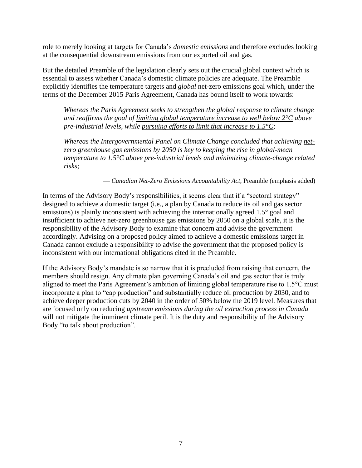role to merely looking at targets for Canada's *domestic emissions* and therefore excludes looking at the consequential downstream emissions from our exported oil and gas.

But the detailed Preamble of the legislation clearly sets out the crucial global context which is essential to assess whether Canada's domestic climate policies are adequate. The Preamble explicitly identifies the temperature targets and *global* net-zero emissions goal which, under the terms of the December 2015 Paris Agreement, Canada has bound itself to work towards:

*Whereas the Paris Agreement seeks to strengthen the global response to climate change and reaffirms the goal of limiting global temperature increase to well below 2°C above pre-industrial levels, while pursuing efforts to limit that increase to 1.5°C;*

*Whereas the Intergovernmental Panel on Climate Change concluded that achieving netzero greenhouse gas emissions by 2050 is key to keeping the rise in global-mean temperature to 1.5°C above pre-industrial levels and minimizing climate-change related risks;*

— *Canadian Net-Zero Emissions Accountability Act*, Preamble (emphasis added)

In terms of the Advisory Body's responsibilities, it seems clear that if a "sectoral strategy" designed to achieve a domestic target (i.e., a plan by Canada to reduce its oil and gas sector emissions) is plainly inconsistent with achieving the internationally agreed 1.5° goal and insufficient to achieve net-zero greenhouse gas emissions by 2050 on a global scale, it is the responsibility of the Advisory Body to examine that concern and advise the government accordingly. Advising on a proposed policy aimed to achieve a domestic emissions target in Canada cannot exclude a responsibility to advise the government that the proposed policy is inconsistent with our international obligations cited in the Preamble.

If the Advisory Body's mandate is so narrow that it is precluded from raising that concern, the members should resign. Any climate plan governing Canada's oil and gas sector that is truly aligned to meet the Paris Agreement's ambition of limiting global temperature rise to 1.5°C must incorporate a plan to "cap production" and substantially reduce oil production by 2030, and to achieve deeper production cuts by 2040 in the order of 50% below the 2019 level. Measures that are focused only on reducing *upstream emissions during the oil extraction process in Canada*  will not mitigate the imminent climate peril. It is the duty and responsibility of the Advisory Body "to talk about production".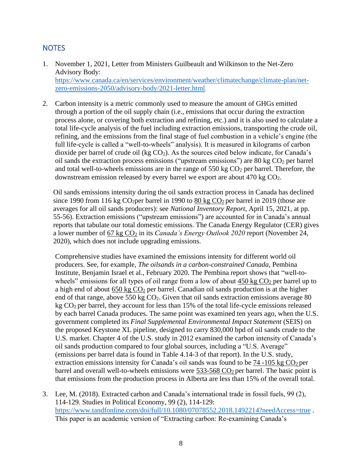#### **NOTES**

- 1. November 1, 2021, Letter from Ministers Guilbeault and Wilkinson to the Net-Zero Advisory Body: [https://www.canada.ca/en/services/environment/weather/climatechange/climate-plan/net](https://www.canada.ca/en/services/environment/weather/climatechange/climate-plan/net-zero-emissions-2050/advisory-body/2021-letter.html)[zero-emissions-2050/advisory-body/2021-letter.html](https://www.canada.ca/en/services/environment/weather/climatechange/climate-plan/net-zero-emissions-2050/advisory-body/2021-letter.html).
- 2. Carbon intensity is a metric commonly used to measure the amount of GHGs emitted through a portion of the oil supply chain (i.e., emissions that occur during the extraction process alone, or covering both extraction and refining, etc.) and it is also used to calculate a total life-cycle analysis of the fuel including extraction emissions, transporting the crude oil, refining, and the emissions from the final stage of fuel combustion in a vehicle's engine (the full life-cycle is called a "well-to-wheels" analysis). It is measured in kilograms of carbon dioxide per barrel of crude oil (kg  $CO<sub>2</sub>$ ). As the sources cited below indicate, for Canada's oil sands the extraction process emissions ("upstream emissions") are  $80 \text{ kg } CO_2$  per barrel and total well-to-wheels emissions are in the range of  $550 \text{ kg CO}_2$  per barrel. Therefore, the downstream emission released by every barrel we export are about 470 kg CO2.

Oil sands emissions intensity during the oil sands extraction process in Canada has declined since 1990 from 116 kg  $CO<sub>2</sub>$  per barrel in 1990 to 80 kg  $CO<sub>2</sub>$  per barrel in 2019 (those are averages for all oil sands producers): see *National Inventory Report*, April 15, 2021, at pp. 55-56). Extraction emissions ("upstream emissions") are accounted for in Canada's annual reports that tabulate our total domestic emissions. The Canada Energy Regulator (CER) gives a lower number of 67 kg CO<sub>2</sub> in its *Canada's Energy Outlook 2020* report (November 24, 2020), which does not include upgrading emissions.

Comprehensive studies have examined the emissions intensity for different world oil producers. See, for example, *The oilsands in a carbon-constrained Canada*, Pembina Institute, Benjamin Israel et al., February 2020. The Pembina report shows that "well-towheels" emissions for all types of oil range from a low of about  $450 \text{ kg CO}_2$  per barrel up to a high end of about  $650 \text{ kg } CO_2$  per barrel. Canadian oil sands production is at the higher end of that range, above 550 kg  $CO<sub>2</sub>$ . Given that oil sands extraction emissions average 80 kg  $CO<sub>2</sub>$  per barrel, they account for less than 15% of the total life-cycle emissions released by each barrel Canada produces. The same point was examined ten years ago, when the U.S. government completed its *Final Supplemental Environmental Impact Statement* (SEIS) on the proposed Keystone XL pipeline, designed to carry 830,000 bpd of oil sands crude to the U.S. market. Chapter 4 of the U.S. study in 2012 examined the carbon intensity of Canada's oil sands production compared to four global sources, including a "U.S. Average" (emissions per barrel data is found in Table 4.14-3 of that report). In the U.S. study, extraction emissions intensity for Canada's oil sands was found to be  $74 - 105$  kg  $CO<sub>2</sub>$  per barrel and overall well-to-wheels emissions were  $533-568 \text{ CO}_2$  per barrel. The basic point is that emissions from the production process in Alberta are less than 15% of the overall total.

3. Lee, M. (2018). Extracted carbon and Canada's international trade in fossil fuels, 99 (2), 114-129. Studies in Political Economy, 99 (2), 114-129: <https://www.tandfonline.com/doi/full/10.1080/07078552.2018.1492214?needAccess=true> . This paper is an academic version of "Extracting carbon: Re-examining Canada's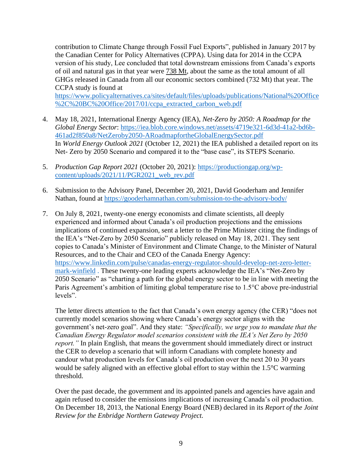contribution to Climate Change through Fossil Fuel Exports", published in January 2017 by the Canadian Center for Policy Alternatives (CPPA). Using data for 2014 in the CCPA version of his study, Lee concluded that total downstream emissions from Canada's exports of oil and natural gas in that year were 738 Mt, about the same as the total amount of all GHGs released in Canada from all our economic sectors combined (732 Mt) that year. The CCPA study is found at

[https://www.policyalternatives.ca/sites/default/files/uploads/publications/National%20Office](https://www.policyalternatives.ca/sites/default/files/uploads/publications/National%20Office%2C%20BC%20Office/2017/01/ccpa_extracted_carbon_web.pdf) [%2C%20BC%20Office/2017/01/ccpa\\_extracted\\_carbon\\_web.pdf](https://www.policyalternatives.ca/sites/default/files/uploads/publications/National%20Office%2C%20BC%20Office/2017/01/ccpa_extracted_carbon_web.pdf)

- 4. May 18, 2021, International Energy Agency (IEA), *Net-Zero by 2050: A Roadmap for the Global Energy Sector*: [https://iea.blob.core.windows.net/assets/4719e321-6d3d-41a2-bd6b-](https://iea.blob.core.windows.net/assets/4719e321-6d3d-41a2-bd6b-461ad2f850a8/NetZeroby2050-ARoadmapfortheGlobalEnergySector.pdf)[461ad2f850a8/NetZeroby2050-ARoadmapfortheGlobalEnergySector.pdf](https://iea.blob.core.windows.net/assets/4719e321-6d3d-41a2-bd6b-461ad2f850a8/NetZeroby2050-ARoadmapfortheGlobalEnergySector.pdf) In *World Energy Outlook 2021* (October 12, 2021) the IEA published a detailed report on its Net- Zero by 2050 Scenario and compared it to the "base case", its STEPS Scenario.
- 5. *Production Gap Report 2021* (October 20, 2021): [https://productiongap.org/wp](https://productiongap.org/wp-content/uploads/2021/11/PGR2021_web_rev.pdf)[content/uploads/2021/11/PGR2021\\_web\\_rev.pdf](https://productiongap.org/wp-content/uploads/2021/11/PGR2021_web_rev.pdf)
- 6. Submission to the Advisory Panel, December 20, 2021, David Gooderham and Jennifer Nathan, found at<https://gooderhamnathan.com/submission-to-the-advisory-body/>
- 7. On July 8, 2021, twenty-one energy economists and climate scientists, all deeply experienced and informed about Canada's oil production projections and the emissions implications of continued expansion, sent a letter to the Prime Minister citing the findings of the IEA's "Net-Zero by 2050 Scenario" publicly released on May 18, 2021. They sent copies to Canada's Minister of Environment and Climate Change, to the Minister of Natural Resources, and to the Chair and CEO of the Canada Energy Agency: [https://www.linkedin.com/pulse/canadas-energy-regulator-should-develop-net-zero-letter](https://www.linkedin.com/pulse/canadas-energy-regulator-should-develop-net-zero-letter-mark-winfield)[mark-winfield](https://www.linkedin.com/pulse/canadas-energy-regulator-should-develop-net-zero-letter-mark-winfield) . These twenty-one leading experts acknowledge the IEA's "Net-Zero by 2050 Scenario" as "charting a path for the global energy sector to be in line with meeting the Paris Agreement's ambition of limiting global temperature rise to 1.5°C above pre-industrial levels".

The letter directs attention to the fact that Canada's own energy agency (the CER) "does not currently model scenarios showing where Canada's energy sector aligns with the government's net-zero goal". And they state: *"Specifically, we urge you to mandate that the Canadian Energy Regulator model scenarios consistent with the IEA's Net Zero by 2050 report.*" In plain English, that means the government should immediately direct or instruct the CER to develop a scenario that will inform Canadians with complete honesty and candour what production levels for Canada's oil production over the next 20 to 30 years would be safely aligned with an effective global effort to stay within the 1.5°C warming threshold.

Over the past decade, the government and its appointed panels and agencies have again and again refused to consider the emissions implications of increasing Canada's oil production. On December 18, 2013, the National Energy Board (NEB) declared in its *Report of the Joint Review for the Enbridge Northern Gateway Project.*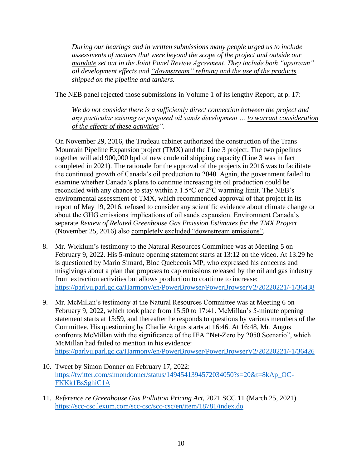*During our hearings and in written submissions many people urged us to include assessments of matters that were beyond the scope of the project and outside our mandate set out in the Joint Panel Review Agreement. They include both "upstream" oil development effects and "downstream" refining and the use of the products shipped on the pipeline and tankers.* 

The NEB panel rejected those submissions in Volume 1 of its lengthy Report, at p. 17:

*We do not consider there is a sufficiently direct connection between the project and any particular existing or proposed oil sands development … to warrant consideration of the effects of these activities".*

On November 29, 2016, the Trudeau cabinet authorized the construction of the Trans Mountain Pipeline Expansion project (TMX) and the Line 3 project. The two pipelines together will add 900,000 bpd of new crude oil shipping capacity (Line 3 was in fact completed in 2021). The rationale for the approval of the projects in 2016 was to facilitate the continued growth of Canada's oil production to 2040. Again, the government failed to examine whether Canada's plans to continue increasing its oil production could be reconciled with any chance to stay within a 1.5°C or 2°C warming limit. The NEB's environmental assessment of TMX, which recommended approval of that project in its report of May 19, 2016, refused to consider any scientific evidence about climate change or about the GHG emissions implications of oil sands expansion. Environment Canada's separate *Review of Related Greenhouse Gas Emission Estimates for the TMX Project* (November 25, 2016) also completely excluded "downstream emissions".

- 8. Mr. Wicklum's testimony to the Natural Resources Committee was at Meeting 5 on February 9, 2022. His 5-minute opening statement starts at 13:12 on the video. At 13.29 he is questioned by Mario Simard, Bloc Quebecois MP, who expressed his concerns and misgivings about a plan that proposes to cap emissions released by the oil and gas industry from extraction activities but allows production to continue to increase: <https://parlvu.parl.gc.ca/Harmony/en/PowerBrowser/PowerBrowserV2/20220221/-1/36438>
- 9. Mr. McMillan's testimony at the Natural Resources Committee was at Meeting 6 on February 9, 2022, which took place from 15:50 to 17:41. McMillan's 5-minute opening statement starts at 15:59, and thereafter he responds to questions by various members of the Committee. His questioning by Charlie Angus starts at 16:46. At 16:48, Mr. Angus confronts McMillan with the significance of the IEA "Net-Zero by 2050 Scenario", which McMillan had failed to mention in his evidence: <https://parlvu.parl.gc.ca/Harmony/en/PowerBrowser/PowerBrowserV2/20220221/-1/36426>
- 10. Tweet by Simon Donner on February 17, 2022: [https://twitter.com/simondonner/status/1494541394572034050?s=20&t=8kAp\\_OC-](https://twitter.com/simondonner/status/1494541394572034050?s=20&t=8kAp_OC-FKKk1BsSghiC1A)[FKKk1BsSghiC1A](https://twitter.com/simondonner/status/1494541394572034050?s=20&t=8kAp_OC-FKKk1BsSghiC1A)
- 11. *Reference re Greenhouse Gas Pollution Pricing Act*, 2021 SCC 11 (March 25, 2021) <https://scc-csc.lexum.com/scc-csc/scc-csc/en/item/18781/index.do>